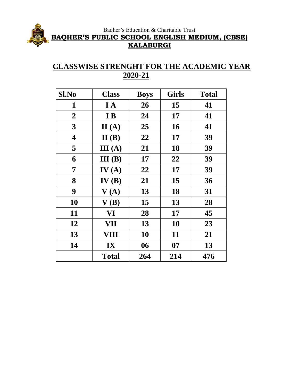

#### Baqher's Education & Charitable Trust **BAQHER'S PUBLIC SCHOOL ENGLISH MEDIUM, (CBSE) KALABURGI**

#### **CLASSWISE STRENGHT FOR THE ACADEMIC YEAR 2020-21**

| Sl.No            | <b>Class</b> | <b>Boys</b> | <b>Girls</b> | <b>Total</b> |
|------------------|--------------|-------------|--------------|--------------|
| 1                | I A          | 26          | 15           | 41           |
| $\boldsymbol{2}$ | I B          | 24          | 17           | 41           |
| 3                | II(A)        | 25          | 16           | 41           |
| 4                | II(B)        | 22          | 17           | 39           |
| 5                | III(A)       | 21          | 18           | 39           |
| 6                | III(B)       | 17          | 22           | 39           |
| 7                | IV(A)        | 22          | 17           | 39           |
| 8                | IV(B)        | 21          | 15           | 36           |
| 9                | V(A)         | 13          | 18           | 31           |
| 10               | V(B)         | 15          | 13           | 28           |
| 11               | VI           | 28          | 17           | 45           |
| 12               | VII          | 13          | 10           | 23           |
| 13               | VIII         | 10          | 11           | 21           |
| 14               | IX           | 06          | 07           | 13           |
|                  | <b>Total</b> | 264         | 214          | 476          |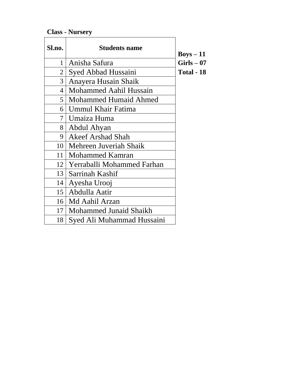**Class - Nursery**

| Sl.no.          | <b>Students name</b>            | $Boys - 11$       |
|-----------------|---------------------------------|-------------------|
| $\mathbf{1}$    | Anisha Safura                   | $Girls - 07$      |
| $\overline{2}$  | Syed Abbad Hussaini             | <b>Total - 18</b> |
| 3               | Anayera Husain Shaik            |                   |
| 4               | Mohammed Aahil Hussain          |                   |
| 5 <sup>5</sup>  | Mohammed Humaid Ahmed           |                   |
| 6               | Ummul Khair Fatima              |                   |
| 7               | Umaiza Huma                     |                   |
| 8               | Abdul Ahyan                     |                   |
| 9               | <b>Akeef Arshad Shah</b>        |                   |
| 10              | Mehreen Juveriah Shaik          |                   |
| 11              | <b>Mohammed Kamran</b>          |                   |
|                 | 12   Yerraballi Mohammed Farhan |                   |
| 13              | Sarrinah Kashif                 |                   |
| 14              | Ayesha Urooj                    |                   |
| 15 <sub>1</sub> | Abdulla Aatir                   |                   |
|                 | 16   Md Aahil Arzan             |                   |
| 17 <sup>1</sup> | Mohammed Junaid Shaikh          |                   |
| 18              | Syed Ali Muhammad Hussaini      |                   |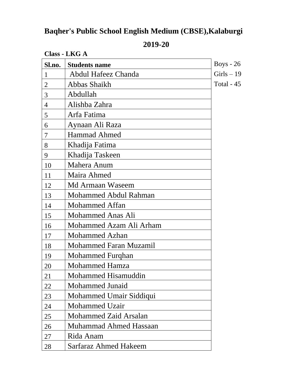### **2019-20**

| Class - LKG A  |                               |              |
|----------------|-------------------------------|--------------|
| Sl.no.         | <b>Students name</b>          | Boys - $26$  |
| $\mathbf{1}$   | Abdul Hafeez Chanda           | $Girls - 19$ |
| $\overline{2}$ | Abbas Shaikh                  | Total - 45   |
| 3              | Abdullah                      |              |
| $\overline{4}$ | Alishba Zahra                 |              |
| 5              | Arfa Fatima                   |              |
| 6              | Aynaan Ali Raza               |              |
| 7              | <b>Hammad Ahmed</b>           |              |
| 8              | Khadija Fatima                |              |
| 9              | Khadija Taskeen               |              |
| 10             | Mahera Anum                   |              |
| 11             | Maira Ahmed                   |              |
| 12             | Md Armaan Waseem              |              |
| 13             | Mohammed Abdul Rahman         |              |
| 14             | <b>Mohammed Affan</b>         |              |
| 15             | Mohammed Anas Ali             |              |
| 16             | Mohammed Azam Ali Arham       |              |
| 17             | <b>Mohammed Azhan</b>         |              |
| 18             | <b>Mohammed Faran Muzamil</b> |              |
| 19             | Mohammed Furqhan              |              |
| 20             | Mohammed Hamza                |              |
| 21             | Mohammed Hisamuddin           |              |
| 22             | <b>Mohammed Junaid</b>        |              |
| 23             | Mohammed Umair Siddiqui       |              |
| 24             | <b>Mohammed Uzair</b>         |              |
| 25             | Mohammed Zaid Arsalan         |              |
| 26             | Muhammad Ahmed Hassaan        |              |
| 27             | Rida Anam                     |              |
| 28             | Sarfaraz Ahmed Hakeem         |              |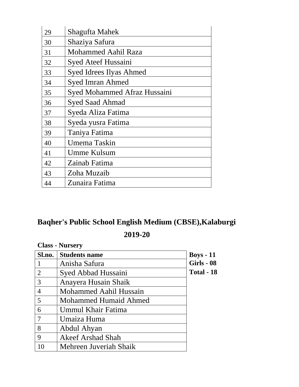| 29 | Shagufta Mahek                      |
|----|-------------------------------------|
| 30 | Shaziya Safura                      |
| 31 | Mohammed Aahil Raza                 |
| 32 | <b>Syed Ateef Hussaini</b>          |
| 33 | <b>Syed Idrees Ilyas Ahmed</b>      |
| 34 | <b>Syed Imran Ahmed</b>             |
| 35 | <b>Syed Mohammed Afraz Hussaini</b> |
| 36 | <b>Syed Saad Ahmad</b>              |
| 37 | Syeda Aliza Fatima                  |
| 38 | Syeda yusra Fatima                  |
| 39 | Taniya Fatima                       |
| 40 | Umema Taskin                        |
| 41 | Umme Kulsum                         |
| 42 | Zainab Fatima                       |
| 43 | Zoha Muzaib                         |
| 44 | Zunaira Fatima                      |

**2019-20**

| <b>Class - Nursery</b> |                          |                   |
|------------------------|--------------------------|-------------------|
| Sl.no.                 | <b>Students name</b>     | $Boys - 11$       |
|                        | Anisha Safura            | <b>Girls - 08</b> |
| $\overline{2}$         | Syed Abbad Hussaini      | Total - 18        |
| 3                      | Anayera Husain Shaik     |                   |
| $\overline{4}$         | Mohammed Aahil Hussain   |                   |
| 5                      | Mohammed Humaid Ahmed    |                   |
| 6                      | Ummul Khair Fatima       |                   |
|                        | Umaiza Huma              |                   |
| 8                      | Abdul Ahyan              |                   |
| 9                      | <b>Akeef Arshad Shah</b> |                   |
|                        | Mehreen Juveriah Shaik   |                   |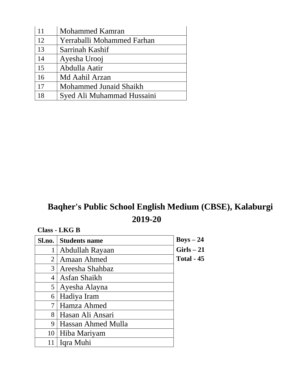| 11 | <b>Mohammed Kamran</b>     |
|----|----------------------------|
| 12 | Yerraballi Mohammed Farhan |
| 13 | Sarrinah Kashif            |
| 14 | Ayesha Urooj               |
| 15 | Abdulla Aatir              |
| 16 | Md Aahil Arzan             |
| 17 | Mohammed Junaid Shaikh     |
| 18 | Syed Ali Muhammad Hussaini |

| <b>Class - LKG B</b> |  |
|----------------------|--|
|----------------------|--|

| Sl.no. | <b>Students name</b>      | $Boys - 24$       |
|--------|---------------------------|-------------------|
| 1      | Abdullah Rayaan           | $Girls - 21$      |
| 2      | Amaan Ahmed               | <b>Total - 45</b> |
| 3      | Areesha Shahbaz           |                   |
| 4      | Asfan Shaikh              |                   |
| 5      | Ayesha Alayna             |                   |
| 6      | Hadiya Iram               |                   |
| 7      | Hamza Ahmed               |                   |
| 8      | Hasan Ali Ansari          |                   |
| 9      | <b>Hassan Ahmed Mulla</b> |                   |
| 10     | Hiba Mariyam              |                   |
|        | Iqra Muhi                 |                   |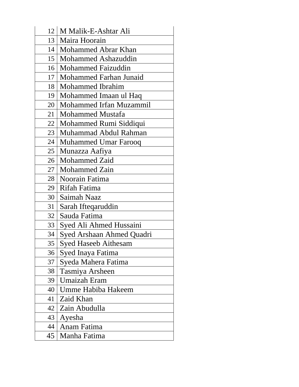| 12 | M Malik-E-Ashtar Ali        |
|----|-----------------------------|
| 13 | Maira Hoorain               |
| 14 | Mohammed Abrar Khan         |
| 15 | Mohammed Ashazuddin         |
| 16 | <b>Mohammed Faizuddin</b>   |
| 17 | Mohammed Farhan Junaid      |
| 18 | Mohammed Ibrahim            |
| 19 | Mohammed Imaan ul Haq       |
| 20 | Mohammed Irfan Muzammil     |
| 21 | <b>Mohammed Mustafa</b>     |
| 22 | Mohammed Rumi Siddiqui      |
| 23 | Muhammad Abdul Rahman       |
| 24 | <b>Muhammed Umar Farooq</b> |
| 25 | Munazza Aafiya              |
| 26 | Mohammed Zaid               |
| 27 | Mohammed Zain               |
| 28 | Noorain Fatima              |
| 29 | Rifah Fatima                |
| 30 | Saimah Naaz                 |
| 31 | Sarah Ifteqaruddin          |
| 32 | Sauda Fatima                |
| 33 | Syed Ali Ahmed Hussaini     |
| 34 | Syed Arshaan Ahmed Quadri   |
| 35 | Syed Haseeb Aithesam        |
| 36 | Syed Inaya Fatima           |
| 37 | Syeda Mahera Fatima         |
| 38 | Tasmiya Arsheen             |
| 39 | <b>Umaizah Eram</b>         |
| 40 | Umme Habiba Hakeem          |
| 41 | Zaid Khan                   |
| 42 | Zain Abudulla               |
| 43 | Ayesha                      |
| 44 | Anam Fatima                 |
| 45 | Manha Fatima                |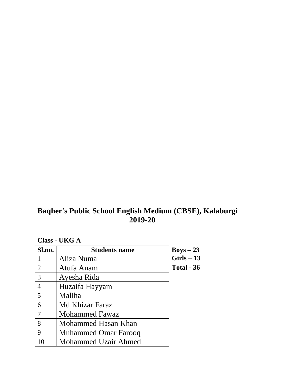| Class - UKG A |  |  |
|---------------|--|--|
|---------------|--|--|

| Sl.no.         | <b>Students name</b>        | $Boys - 23$       |
|----------------|-----------------------------|-------------------|
|                | Aliza Numa                  | $Girls - 13$      |
| $\overline{2}$ | Atufa Anam                  | <b>Total - 36</b> |
| 3              | Ayesha Rida                 |                   |
| $\overline{4}$ | Huzaifa Hayyam              |                   |
| 5              | Maliha                      |                   |
| 6              | Md Khizar Faraz             |                   |
|                | <b>Mohammed Fawaz</b>       |                   |
| 8              | Mohammed Hasan Khan         |                   |
| 9              | <b>Muhammed Omar Farooq</b> |                   |
|                | <b>Mohammed Uzair Ahmed</b> |                   |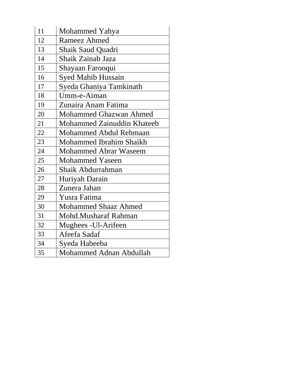| 11 | Mohammed Yahya                |
|----|-------------------------------|
| 12 | <b>Rameez Ahmed</b>           |
| 13 | Shaik Saud Quadri             |
| 14 | Shaik Zainab Jaza             |
| 15 | Shayaan Farooqui              |
| 16 | <b>Syed Mahib Hussain</b>     |
| 17 | Syeda Ghaniya Tamkinath       |
| 18 | Umm-e-Aiman                   |
| 19 | Zunaira Anam Fatima           |
| 20 | <b>Mohammed Ghazwan Ahmed</b> |
| 21 | Mohammed Zainuddin Khateeb    |
| 22 | Mohammed Abdul Rehmaan        |
| 23 | Mohammed Ibrahim Shaikh       |
| 24 | <b>Mohammed Abrar Waseem</b>  |
| 25 | <b>Mohammed Yaseen</b>        |
| 26 | Shaik Abdurrahman             |
| 27 | Huriyah Darain                |
| 28 | Zunera Jahan                  |
| 29 | Yusra Fatima                  |
| 30 | <b>Mohammed Shaaz Ahmed</b>   |
| 31 | Mohd.Musharaf Rahman          |
| 32 | Mughees - Ul-Arifeen          |
| 33 | Afeefa Sadaf                  |
| 34 | Syeda Habeeba                 |
| 35 | Mohammed Adnan Abdullah       |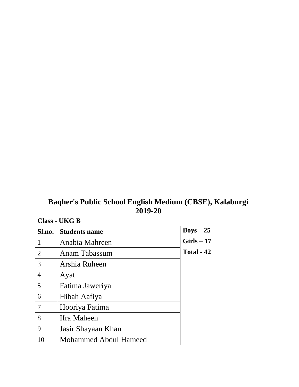| <b>Class - UKG B</b> |  |  |
|----------------------|--|--|
|----------------------|--|--|

| Sl.no. | <b>Students name</b>  | $Boys - 25$       |
|--------|-----------------------|-------------------|
|        | Anabia Mahreen        | $Girls-17$        |
| 2      | Anam Tabassum         | <b>Total - 42</b> |
| 3      | Arshia Ruheen         |                   |
| 4      | Ayat                  |                   |
| 5      | Fatima Jaweriya       |                   |
| 6      | Hibah Aafiya          |                   |
| 7      | Hooriya Fatima        |                   |
| 8      | Ifra Maheen           |                   |
| 9      | Jasir Shayaan Khan    |                   |
| 10     | Mohammed Abdul Hameed |                   |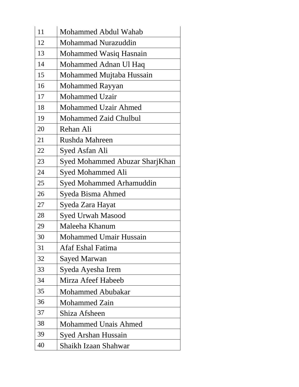| 11 | Mohammed Abdul Wahab            |
|----|---------------------------------|
| 12 | Mohammad Nurazuddin             |
| 13 | Mohammed Wasiq Hasnain          |
| 14 | Mohammed Adnan Ul Haq           |
| 15 | Mohammed Mujtaba Hussain        |
| 16 | <b>Mohammed Rayyan</b>          |
| 17 | <b>Mohammed Uzair</b>           |
| 18 | <b>Mohammed Uzair Ahmed</b>     |
| 19 | <b>Mohammed Zaid Chulbul</b>    |
| 20 | Rehan Ali                       |
| 21 | Rushda Mahreen                  |
| 22 | Syed Asfan Ali                  |
| 23 | Syed Mohammed Abuzar SharjKhan  |
| 24 | <b>Syed Mohammed Ali</b>        |
| 25 | <b>Syed Mohammed Arhamuddin</b> |
| 26 | Syeda Bisma Ahmed               |
| 27 | Syeda Zara Hayat                |
| 28 | <b>Syed Urwah Masood</b>        |
| 29 | Maleeha Khanum                  |
| 30 | <b>Mohammed Umair Hussain</b>   |
| 31 | Afaf Eshal Fatima               |
| 32 | Sayed Marwan                    |
| 33 | Syeda Ayesha Irem               |
| 34 | Mirza Afeef Habeeb              |
| 35 | <b>Mohammed Abubakar</b>        |
| 36 | Mohammed Zain                   |
| 37 | Shiza Afsheen                   |
| 38 | <b>Mohammed Unais Ahmed</b>     |
| 39 | Syed Arshan Hussain             |
| 40 | Shaikh Izaan Shahwar            |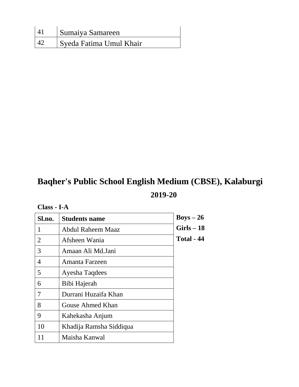| Sumaiya Samareen        |  |
|-------------------------|--|
| Syeda Fatima Umul Khair |  |

| l<br><b>A</b> lass |  |  |
|--------------------|--|--|
|--------------------|--|--|

| Sl.no. | <b>Students name</b>    | $Boys - 26$  |
|--------|-------------------------|--------------|
|        | Abdul Raheem Maaz       | $Girls - 18$ |
| 2      | Afsheen Wania           | Total - 44   |
| 3      | Amaan Ali Md.Jani       |              |
| 4      | Amanta Farzeen          |              |
| 5      | Ayesha Tagdees          |              |
| 6      | Bibi Hajerah            |              |
| 7      | Durrani Huzaifa Khan    |              |
| 8      | Gouse Ahmed Khan        |              |
| 9      | Kahekasha Anjum         |              |
| 10     | Khadija Ramsha Siddiqua |              |
|        | Maisha Kanwal           |              |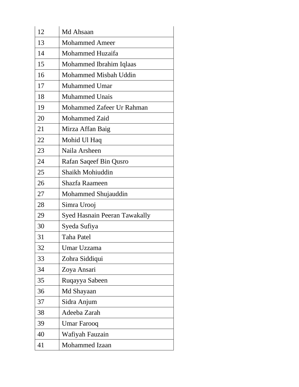| 12 | Md Ahsaan                            |
|----|--------------------------------------|
| 13 | <b>Mohammed Ameer</b>                |
| 14 | Mohammed Huzaifa                     |
| 15 | Mohammed Ibrahim Iqlaas              |
| 16 | Mohammed Misbah Uddin                |
| 17 | <b>Muhammed Umar</b>                 |
| 18 | <b>Muhammed Unais</b>                |
| 19 | Mohammed Zafeer Ur Rahman            |
| 20 | Mohammed Zaid                        |
| 21 | Mirza Affan Baig                     |
| 22 | Mohid Ul Haq                         |
| 23 | Naila Arsheen                        |
| 24 | Rafan Saqeef Bin Qusro               |
| 25 | Shaikh Mohiuddin                     |
| 26 | <b>Shazfa Raameen</b>                |
| 27 | Mohammed Shujauddin                  |
| 28 | Simra Urooj                          |
| 29 | <b>Syed Hasnain Peeran Tawakally</b> |
| 30 | Syeda Sufiya                         |
| 31 | <b>Taha Patel</b>                    |
| 32 | Umar Uzzama                          |
| 33 | Zohra Siddiqui                       |
| 34 | Zoya Ansari                          |
| 35 | Ruqayya Sabeen                       |
| 36 | Md Shayaan                           |
| 37 | Sidra Anjum                          |
| 38 | Adeeba Zarah                         |
| 39 | <b>Umar Farooq</b>                   |
| 40 | Wafiyah Fauzain                      |
| 41 | <b>Mohammed Izaan</b>                |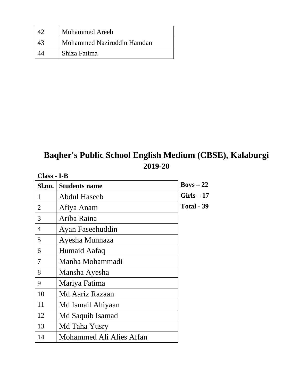| <b>Mohammed Areeb</b>      |
|----------------------------|
| Mohammed Naziruddin Hamdan |
| Shiza Fatima               |

| Class - I-B |                          |                   |
|-------------|--------------------------|-------------------|
| Sl.no.      | <b>Students name</b>     | $Boys - 22$       |
| 1           | <b>Abdul Haseeb</b>      | $Girls - 17$      |
| 2           | Afiya Anam               | <b>Total - 39</b> |
| 3           | Ariba Raina              |                   |
| 4           | Ayan Faseehuddin         |                   |
| 5           | Ayesha Munnaza           |                   |
| 6           | Humaid Aafaq             |                   |
| 7           | Manha Mohammadi          |                   |
| 8           | Mansha Ayesha            |                   |
| 9           | Mariya Fatima            |                   |
| 10          | Md Aariz Razaan          |                   |
| 11          | Md Ismail Ahiyaan        |                   |
| 12          | Md Saquib Isamad         |                   |
| 13          | Md Taha Yusry            |                   |
| 14          | Mohammed Ali Alies Affan |                   |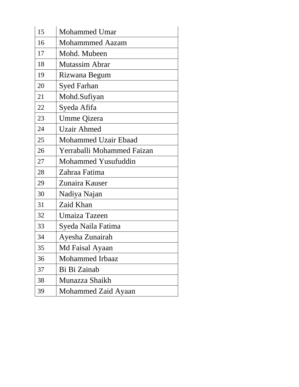| 15 | <b>Mohammed Umar</b>       |
|----|----------------------------|
| 16 | <b>Mohammmed Aazam</b>     |
| 17 | Mohd. Mubeen               |
| 18 | <b>Mutassim Abrar</b>      |
| 19 | Rizwana Begum              |
| 20 | Syed Farhan                |
| 21 | Mohd.Sufiyan               |
| 22 | Syeda Afifa                |
| 23 | Umme Qizera                |
| 24 | <b>Uzair Ahmed</b>         |
| 25 | Mohammed Uzair Ebaad       |
| 26 | Yerraballi Mohammed Faizan |
| 27 | Mohammed Yusufuddin        |
| 28 | Zahraa Fatima              |
| 29 | Zunaira Kauser             |
| 30 | Nadiya Najan               |
| 31 | Zaid Khan                  |
| 32 | Umaiza Tazeen              |
| 33 | Syeda Naila Fatima         |
| 34 | Ayesha Zunairah            |
| 35 | Md Faisal Ayaan            |
| 36 | <b>Mohammed Irbaaz</b>     |
| 37 | Bi Bi Zainab               |
| 38 | Munazza Shaikh             |
| 39 | Mohammed Zaid Ayaan        |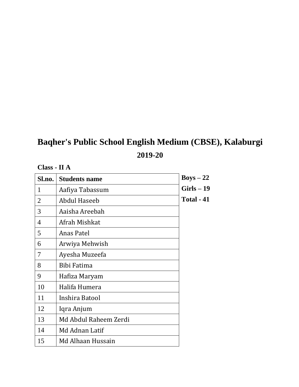| Class - II A   |                       |                   |
|----------------|-----------------------|-------------------|
| Sl.no.         | <b>Students name</b>  | $Boys - 22$       |
| 1              | Aafiya Tabassum       | $Girls-19$        |
| $\overline{2}$ | <b>Abdul Haseeb</b>   | <b>Total - 41</b> |
| 3              | Aaisha Areebah        |                   |
| 4              | Afrah Mishkat         |                   |
| 5              | Anas Patel            |                   |
| 6              | Arwiya Mehwish        |                   |
| 7              | Ayesha Muzeefa        |                   |
| 8              | Bibi Fatima           |                   |
| 9              | Hafiza Maryam         |                   |
| 10             | Halifa Humera         |                   |
| 11             | Inshira Batool        |                   |
| 12             | Iqra Anjum            |                   |
| 13             | Md Abdul Raheem Zerdi |                   |
| 14             | Md Adnan Latif        |                   |
| 15             | Md Alhaan Hussain     |                   |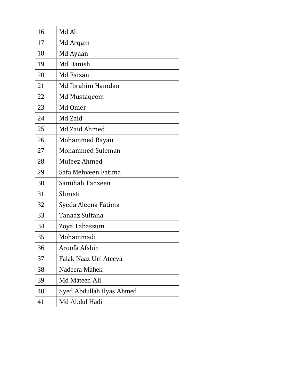| 16 | Md Ali                    |
|----|---------------------------|
| 17 | Md Argam                  |
| 18 | Md Ayaan                  |
| 19 | Md Danish                 |
| 20 | Md Faizan                 |
| 21 | Md Ibrahim Hamdan         |
| 22 | Md Mustaqeem              |
| 23 | Md Omer                   |
| 24 | Md Zaid                   |
| 25 | Md Zaid Ahmed             |
| 26 | Mohammed Rayan            |
| 27 | <b>Mohammed Suleman</b>   |
| 28 | Mufeez Ahmed              |
| 29 | Safa Mehveen Fatima       |
| 30 | Samihah Tanzeen           |
| 31 | Shrusti                   |
| 32 | Syeda Aleena Fatima       |
| 33 | Tanaaz Sultana            |
| 34 | Zoya Tabassum             |
| 35 | Mohammadi                 |
| 36 | Aroofa Afshin             |
| 37 | Falak Naaz Urf Ateeya     |
| 38 | Nadeera Mahek             |
| 39 | Md Mateen Ali             |
| 40 | Syed Abdullah Ilyas Ahmed |
| 41 | Md Abdul Hadi             |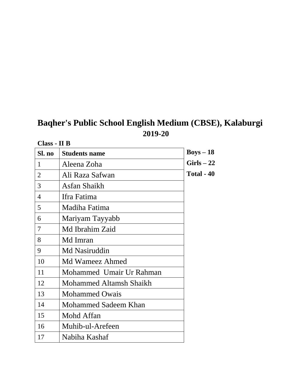| Class - II B |                                |             |
|--------------|--------------------------------|-------------|
| Sl. no       | <b>Students name</b>           | $Boys - 18$ |
| 1            | Aleena Zoha                    | $Girls-22$  |
| 2            | Ali Raza Safwan                | Total - 40  |
| 3            | Asfan Shaikh                   |             |
| 4            | Ifra Fatima                    |             |
| 5            | Madiha Fatima                  |             |
| 6            | Mariyam Tayyabb                |             |
| 7            | Md Ibrahim Zaid                |             |
| 8            | Md Imran                       |             |
| 9            | Md Nasiruddin                  |             |
| 10           | Md Wameez Ahmed                |             |
| 11           | Mohammed Umair Ur Rahman       |             |
| 12           | <b>Mohammed Altamsh Shaikh</b> |             |
| 13           | <b>Mohammed Owais</b>          |             |
| 14           | Mohammed Sadeem Khan           |             |
| 15           | Mohd Affan                     |             |
| 16           | Muhib-ul-Arefeen               |             |
| 17           | Nabiha Kashaf                  |             |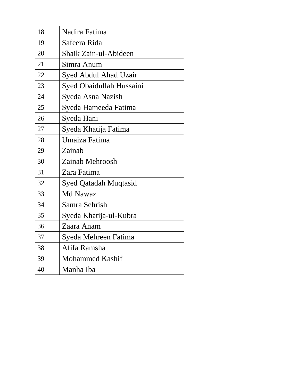| 18 | Nadira Fatima                |
|----|------------------------------|
| 19 | Safeera Rida                 |
| 20 | Shaik Zain-ul-Abideen        |
| 21 | Simra Anum                   |
| 22 | Syed Abdul Ahad Uzair        |
| 23 | Syed Obaidullah Hussaini     |
| 24 | Syeda Asna Nazish            |
| 25 | Syeda Hameeda Fatima         |
| 26 | Syeda Hani                   |
| 27 | Syeda Khatija Fatima         |
| 28 | Umaiza Fatima                |
| 29 | Zainab                       |
| 30 | Zainab Mehroosh              |
| 31 | Zara Fatima                  |
| 32 | <b>Syed Qatadah Muqtasid</b> |
| 33 | Md Nawaz                     |
| 34 | Samra Sehrish                |
| 35 | Syeda Khatija-ul-Kubra       |
| 36 | Zaara Anam                   |
| 37 | Syeda Mehreen Fatima         |
| 38 | Afifa Ramsha                 |
| 39 | <b>Mohammed Kashif</b>       |
| 40 | Manha Iba                    |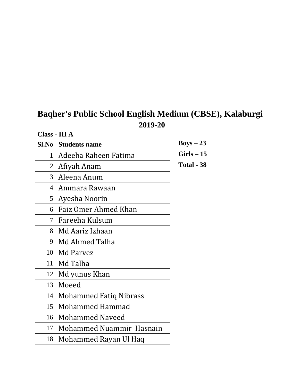| Class - III A   |                          |                   |
|-----------------|--------------------------|-------------------|
| Sl.No           | <b>Students name</b>     | $Boys - 23$       |
| $\mathbf{1}$    | Adeeba Raheen Fatima     | $Girls - 15$      |
| $\overline{2}$  | Afiyah Anam              | <b>Total - 38</b> |
| 3               | Aleena Anum              |                   |
| 4               | Ammara Rawaan            |                   |
| 5               | Ayesha Noorin            |                   |
| 6               | Faiz Omer Ahmed Khan     |                   |
| $\tau$          | Fareeha Kulsum           |                   |
| 8               | Md Aariz Izhaan          |                   |
| 9               | Md Ahmed Talha           |                   |
|                 | 10   Md Parvez           |                   |
|                 | $11$   Md Talha          |                   |
| 12              | Md yunus Khan            |                   |
| 13              | Moeed                    |                   |
| 14              | Mohammed Fatiq Nibrass   |                   |
| 15              | Mohammed Hammad          |                   |
| 16 <sup>1</sup> | <b>Mohammed Naveed</b>   |                   |
| 17              | Mohammed Nuammir Hasnain |                   |
| 18              | Mohammed Rayan Ul Haq    |                   |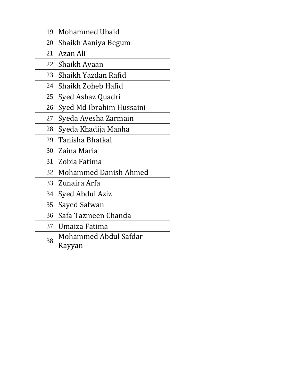| 19              | <b>Mohammed Ubaid</b>        |
|-----------------|------------------------------|
| 20              | Shaikh Aaniya Begum          |
| 21              | Azan Ali                     |
| 22              | Shaikh Ayaan                 |
| 23              | Shaikh Yazdan Rafid          |
| 24              | Shaikh Zoheb Hafid           |
| 25              | Syed Ashaz Quadri            |
| 26              | Syed Md Ibrahim Hussaini     |
| 27              | Syeda Ayesha Zarmain         |
| 28              | Syeda Khadija Manha          |
| 29              | Tanisha Bhatkal              |
| 30              | Zaina Maria                  |
| 31              | Zobia Fatima                 |
| 32 <sub>1</sub> | <b>Mohammed Danish Ahmed</b> |
| 33              | Zunaira Arfa                 |
| 34              | Syed Abdul Aziz              |
| 35              | Sayed Safwan                 |
| 36              | Safa Tazmeen Chanda          |
| 37              | Umaiza Fatima                |
| 38              | Mohammed Abdul Safdar        |
|                 | Rayyan                       |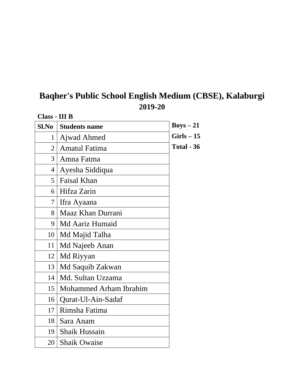| Class - III B |                 |                               |              |
|---------------|-----------------|-------------------------------|--------------|
|               | <b>Sl.No</b>    | <b>Students name</b>          | $Boys - 21$  |
|               | $\mathbf{1}$    | Ajwad Ahmed                   | $Girls - 15$ |
|               | $\overline{2}$  | <b>Amatul Fatima</b>          | Total - 36   |
|               | 3               | Amna Fatma                    |              |
|               | $\overline{4}$  | Ayesha Siddiqua               |              |
|               | 5               | Faisal Khan                   |              |
|               | 6               | Hifza Zarin                   |              |
|               | 7               | Ifra Ayaana                   |              |
|               | 8               | Maaz Khan Durrani             |              |
|               | 9               | Md Aariz Humaid               |              |
|               | 10 <sup>1</sup> | Md Majid Talha                |              |
|               | 11              | Md Najeeb Anan                |              |
|               | 12              | Md Riyyan                     |              |
|               | 13              | Md Saquib Zakwan              |              |
|               | 14              | Md. Sultan Uzzama             |              |
|               | 15              | <b>Mohammed Arham Ibrahim</b> |              |
|               | 16              | Qurat-Ul-Ain-Sadaf            |              |
|               | 17              | Rimsha Fatima                 |              |
|               | 18              | Sara Anam                     |              |
|               | 19 <sup>1</sup> | <b>Shaik Hussain</b>          |              |
|               | 20              | <b>Shaik Owaise</b>           |              |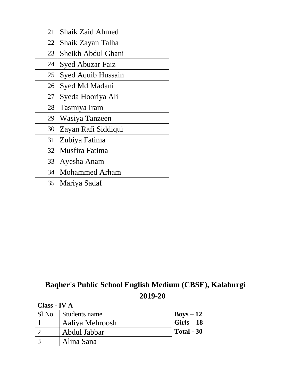| 21              | Shaik Zaid Ahmed        |
|-----------------|-------------------------|
| 22 <sub>1</sub> | Shaik Zayan Talha       |
| 23              | Sheikh Abdul Ghani      |
| 24              | <b>Syed Abuzar Faiz</b> |
| 25              | Syed Aquib Hussain      |
| 26              | Syed Md Madani          |
| 27              | Syeda Hooriya Ali       |
| 28              | Tasmiya Iram            |
| 29              | Wasiya Tanzeen          |
| 30              | Zayan Rafi Siddiqui     |
| 31              | Zubiya Fatima           |
| 32 <sup>1</sup> | Musfira Fatima          |
| 33              | Ayesha Anam             |
| 34              | <b>Mohammed Arham</b>   |
| 35              | Mariya Sadaf            |

|       | Class - IV A    |                    |  |
|-------|-----------------|--------------------|--|
| Sl.No | Students name   | $Boys - 12$        |  |
|       | Aaliya Mehroosh | $\vert$ Girls – 18 |  |
|       | Abdul Jabbar    | <b>Total - 30</b>  |  |
|       | Alina Sana      |                    |  |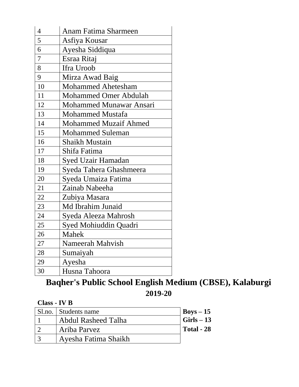| $\overline{4}$ | Anam Fatima Sharmeen         |
|----------------|------------------------------|
| 5              | Asfiya Kousar                |
| 6              | Ayesha Siddiqua              |
| $\overline{7}$ | Esraa Ritaj                  |
| 8              | Ifra Uroob                   |
| 9              | Mirza Awad Baig              |
| 10             | <b>Mohammed Ahetesham</b>    |
| 11             | Mohammed Omer Abdulah        |
| 12             | Mohammed Munawar Ansari      |
| 13             | <b>Mohammed Mustafa</b>      |
| 14             | <b>Mohammed Muzaif Ahmed</b> |
| 15             | <b>Mohammed Suleman</b>      |
| 16             | <b>Shaikh Mustain</b>        |
| 17             | Shifa Fatima                 |
| 18             | <b>Syed Uzair Hamadan</b>    |
| 19             | Syeda Tahera Ghashmeera      |
| 20             | Syeda Umaiza Fatima          |
| 21             | Zainab Nabeeha               |
| 22             | Zubiya Masara                |
| 23             | Md Ibrahim Junaid            |
| 24             | Syeda Aleeza Mahrosh         |
| 25             | Syed Mohiuddin Quadri        |
| 26             | Mahek                        |
| 27             | Nameerah Mahvish             |
| 28             | Sumaiyah                     |
| 29             | Ayesha                       |
| 30             | Husna Tahoora                |

| Class - IV B |                            |                    |
|--------------|----------------------------|--------------------|
|              | Sl.no. Students name       | $Boys - 15$        |
|              | <b>Abdul Rasheed Talha</b> | $\vert$ Girls – 13 |
|              | Ariba Parvez               | <b>Total - 28</b>  |
|              | Ayesha Fatima Shaikh       |                    |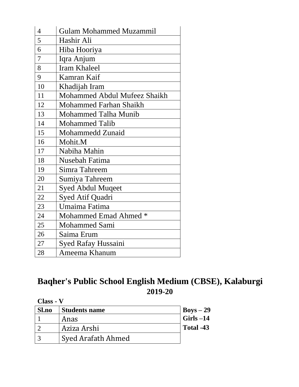| $\overline{4}$ | <b>Gulam Mohammed Muzammil</b> |
|----------------|--------------------------------|
| 5              | Hashir Ali                     |
| 6              | Hiba Hooriya                   |
| $\overline{7}$ | Iqra Anjum                     |
| 8              | <b>Iram Khaleel</b>            |
| 9              | Kamran Kaif                    |
| 10             | Khadijah Iram                  |
| 11             | Mohammed Abdul Mufeez Shaikh   |
| 12             | Mohammed Farhan Shaikh         |
| 13             | <b>Mohammed Talha Munib</b>    |
| 14             | <b>Mohammed Talib</b>          |
| 15             | Mohammedd Zunaid               |
| 16             | Mohit.M                        |
| 17             | Nabiha Mahin                   |
| 18             | Nusebah Fatima                 |
| 19             | Simra Tahreem                  |
| 20             | Sumiya Tahreem                 |
| 21             | <b>Syed Abdul Muqeet</b>       |
| 22             | Syed Atif Quadri               |
| 23             | Umaima Fatima                  |
| 24             | Mohammed Emad Ahmed *          |
| 25             | <b>Mohammed Sami</b>           |
| 26             | Saima Erum                     |
| 27             | <b>Syed Rafay Hussaini</b>     |
| 28             | Ameema Khanum                  |

| $Class - V$  |                      |                                    |
|--------------|----------------------|------------------------------------|
| <b>Sl.no</b> | <b>Students name</b> | $Boys - 29$                        |
|              | Anas                 | $\overline{\phantom{a}}$ Girls -14 |
|              | Aziza Arshi          | Total -43                          |
|              | Syed Arafath Ahmed   |                                    |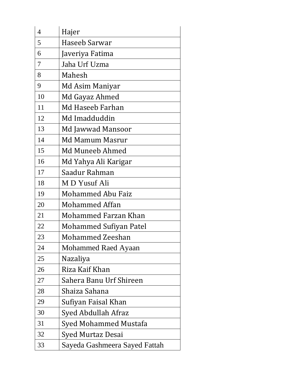| $\overline{4}$ | Hajer                         |
|----------------|-------------------------------|
| 5              | Haseeb Sarwar                 |
| 6              | Javeriya Fatima               |
| 7              | Jaha Urf Uzma                 |
| 8              | Mahesh                        |
| 9              | Md Asim Maniyar               |
| 10             | Md Gayaz Ahmed                |
| 11             | Md Haseeb Farhan              |
| 12             | Md Imadduddin                 |
| 13             | Md Jawwad Mansoor             |
| 14             | Md Mamum Masrur               |
| 15             | Md Muneeb Ahmed               |
| 16             | Md Yahya Ali Karigar          |
| 17             | Saadur Rahman                 |
| 18             | MD Yusuf Ali                  |
| 19             | <b>Mohammed Abu Faiz</b>      |
| 20             | Mohammed Affan                |
| 21             | Mohammed Farzan Khan          |
| 22             | Mohammed Sufiyan Patel        |
| 23             | Mohammed Zeeshan              |
| 24             | <b>Mohammed Raed Ayaan</b>    |
| 25             | Nazaliya                      |
| 26             | Riza Kaif Khan                |
| 27             | Sahera Banu Urf Shireen       |
| 28             | Shaiza Sahana                 |
| 29             | Sufiyan Faisal Khan           |
| 30             | Syed Abdullah Afraz           |
| 31             | Syed Mohammed Mustafa         |
| 32             | Syed Murtaz Desai             |
| 33             | Sayeda Gashmeera Sayed Fattah |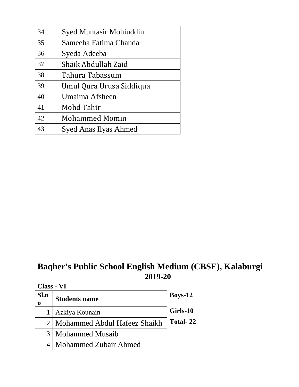| 34 | <b>Syed Muntasir Mohiuddin</b> |
|----|--------------------------------|
| 35 | Sameeha Fatima Chanda          |
| 36 | Syeda Adeeba                   |
| 37 | Shaik Abdullah Zaid            |
| 38 | Tahura Tabassum                |
| 39 | Umul Qura Urusa Siddiqua       |
| 40 | Umaima Afsheen                 |
| 41 | Mohd Tahir                     |
| 42 | <b>Mohammed Momin</b>          |
| 43 | Syed Anas Ilyas Ahmed          |

| Class - VI |                                  |          |
|------------|----------------------------------|----------|
| Sl.n<br>0  | <b>Students name</b>             | Boys-12  |
|            | Azkiya Kounain                   | Girls-10 |
|            | 2   Mohammed Abdul Hafeez Shaikh | Total-22 |
| 3          | <b>Mohammed Musaib</b>           |          |
|            | Mohammed Zubair Ahmed            |          |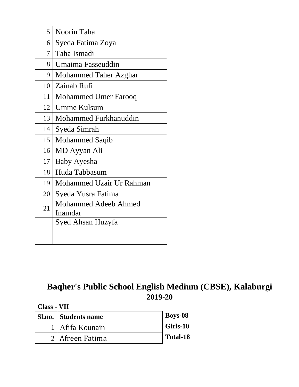| 5  | Noorin Taha                  |
|----|------------------------------|
| 6  | Syeda Fatima Zoya            |
| 7  | Taha Ismadi                  |
| 8  | Umaima Fasseuddin            |
| 9  | <b>Mohammed Taher Azghar</b> |
| 10 | Zainab Rufi                  |
| 11 | <b>Mohammed Umer Farooq</b>  |
| 12 | Umme Kulsum                  |
| 13 | Mohammed Furkhanuddin        |
| 14 | Syeda Simrah                 |
| 15 | <b>Mohammed Saqib</b>        |
| 16 | MD Ayyan Ali                 |
| 17 | Baby Ayesha                  |
| 18 | Huda Tabbasum                |
| 19 | Mohammed Uzair Ur Rahman     |
| 20 | Syeda Yusra Fatima           |
| 21 | Mohammed Adeeb Ahmed         |
|    | Inamdar                      |
|    | Syed Ahsan Huzyfa            |
|    |                              |
|    |                              |

**Class - VII**

| Sl.no. Students name | <b>Boys-08</b>  |
|----------------------|-----------------|
| 1   Afifa Kounain    | $\mid$ Girls-10 |
| 2   Afreen Fatima    | Total-18        |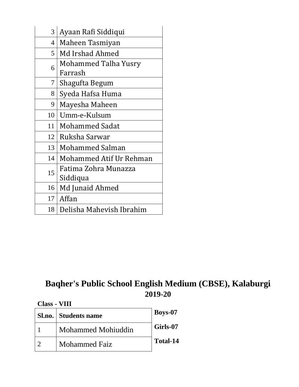| 3              | Ayaan Rafi Siddiqui      |
|----------------|--------------------------|
| $\overline{4}$ | Maheen Tasmiyan          |
| 5 <sup>5</sup> | Md Irshad Ahmed          |
| 6              | Mohammed Talha Yusry     |
|                | Farrash                  |
| 7              | Shagufta Begum           |
| 8              | Syeda Hafsa Huma         |
| 9              | Mayesha Maheen           |
| 10             | Umm-e-Kulsum             |
| 11             | <b>Mohammed Sadat</b>    |
| 12             | Ruksha Sarwar            |
| 13             | Mohammed Salman          |
| 14             | Mohammed Atif Ur Rehman  |
|                | Fatima Zohra Munazza     |
| 15             | Siddiqua                 |
| 16             | Md Junaid Ahmed          |
| 17             | Affan                    |
| 18             | Delisha Mahevish Ibrahim |

**Class - VIII**

|  | <b>Sl.no.</b> Students name | <b>Boys-07</b> |
|--|-----------------------------|----------------|
|  | Mohammed Mohiuddin          | Girls-07       |
|  | <b>Mohammed Faiz</b>        | Total-14       |